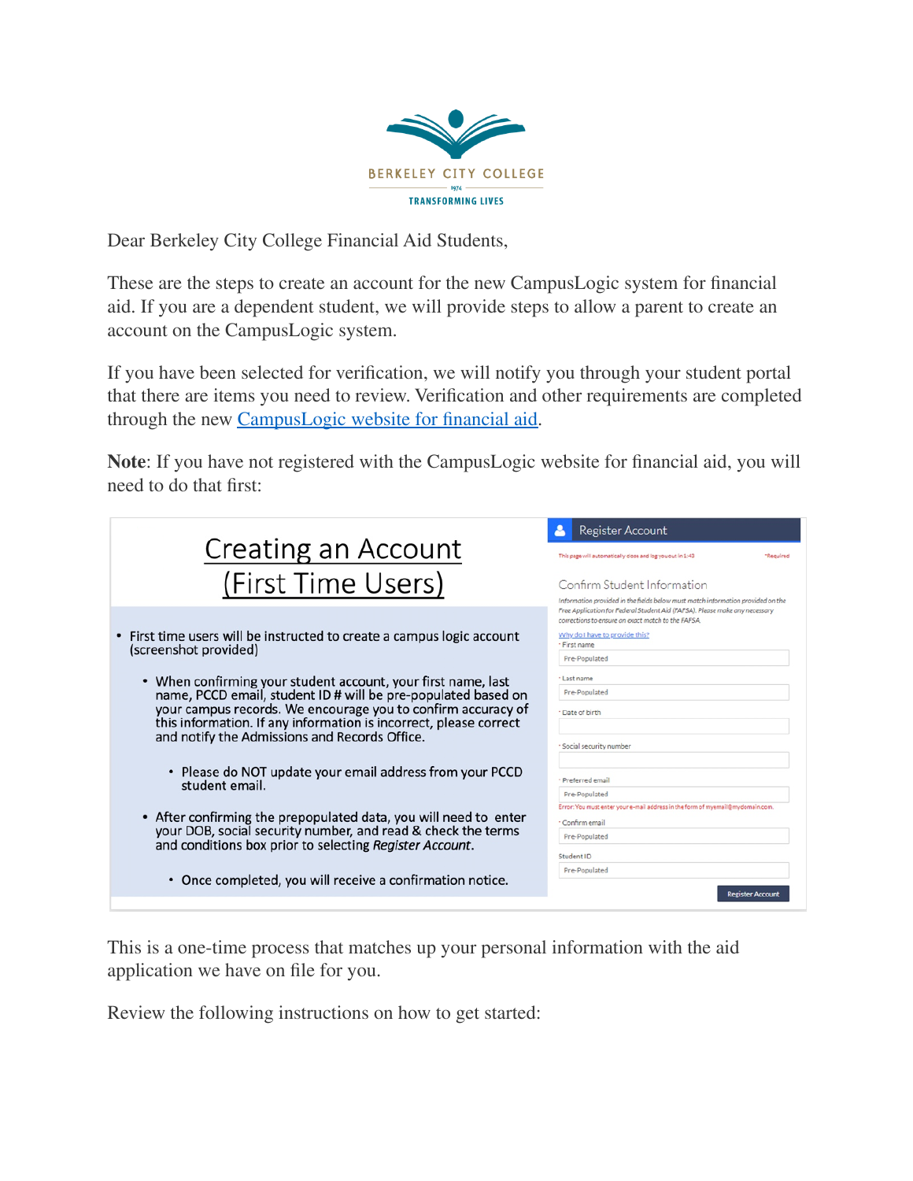

Dear Berkeley City College Financial Aid Students,

These are the steps to create an account for the new CampusLogic system for financial aid. If you are a dependent student, we will provide steps to allow a parent to create an account on the CampusLogic system.

If you have been selected for verification, we will notify you through your student portal that there are items you need to review. Verification and other requirements are completed through the new [CampusLogic](https://berkeleycitycollegesandbox-pm.campuslogic.com/signin?auth=clsignin&clientid=4c593bbf-e003-4fa4-8222-0de1dad69d10&productid=2cf72f8d-83d3-4dde-9d86-a90208b9d1fc&type=student&ctx=13BD589F3F384D2EFD2EA6A9F63A4FD0) website for financial aid.

**Note**: If you have not registered with the CampusLogic website for financial aid, you will need to do that first:

| <b>Creating an Account</b>                                                                                                                                                                  | Register Account<br>This page will automatically close and log you out in 1:43<br>"Reguired                                                                                         |
|---------------------------------------------------------------------------------------------------------------------------------------------------------------------------------------------|-------------------------------------------------------------------------------------------------------------------------------------------------------------------------------------|
| (First Time Users)                                                                                                                                                                          | Confirm Student Information<br>Information provided in the fields below must match information provided on the                                                                      |
| First time users will be instructed to create a campus logic account<br>(screenshot provided)                                                                                               | Free Application for Federal Student Aid (FAFSA). Please make any necessary<br>corrections to ensure an exact match to the FAFSA.<br>Why do I have to provide this?<br>· First name |
| • When confirming your student account, your first name, last<br>name, PCCD email, student ID # will be pre-populated based on                                                              | Pre-Populated<br>* Last name<br>Pre-Populated                                                                                                                                       |
| your campus records. We encourage you to confirm accuracy of<br>this information. If any information is incorrect, please correct<br>and notify the Admissions and Records Office.          | · Date of birth<br>* Social security number                                                                                                                                         |
| • Please do NOT update your email address from your PCCD<br>student email.                                                                                                                  | - Preferred email<br>Pre-Populated                                                                                                                                                  |
| • After confirming the prepopulated data, you will need to enter<br>your DOB, social security number, and read & check the terms<br>and conditions box prior to selecting Register Account. | Error: You must enter your e-mail address in the form of myemail@mydomain.com.<br>* Confirm email<br>Pre-Populated                                                                  |
| • Once completed, you will receive a confirmation notice.                                                                                                                                   | Student ID<br>Pre-Populated                                                                                                                                                         |
|                                                                                                                                                                                             | <b>Register Account</b>                                                                                                                                                             |

This is a one-time process that matches up your personal information with the aid application we have on file for you.

Review the following instructions on how to get started: